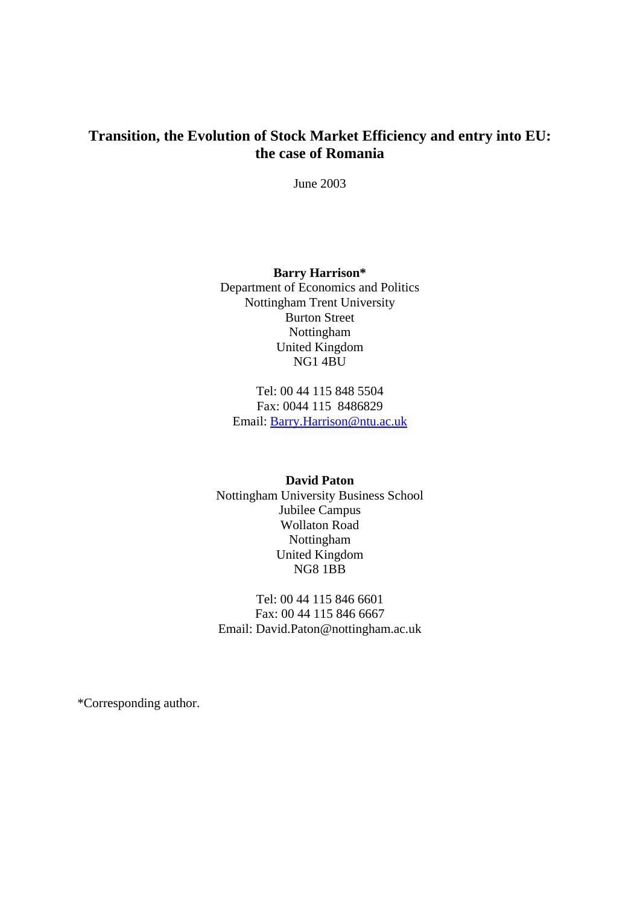# **Transition, the Evolution of Stock Market Efficiency and entry into EU: the case of Romania**

June 2003

**Barry Harrison\***  Department of Economics and Politics Nottingham Trent University Burton Street Nottingham United Kingdom NG1 4BU

Tel: 00 44 115 848 5504 Fax: 0044 115 8486829 Email: [Barry.Harrison@ntu.ac.uk](mailto:Barry.Harrison@ntu.ac.uk)

## **David Paton**

Nottingham University Business School Jubilee Campus Wollaton Road Nottingham United Kingdom NG8 1BB

Tel: 00 44 115 846 6601 Fax: 00 44 115 846 6667 Email: David.Paton@nottingham.ac.uk

\*Corresponding author.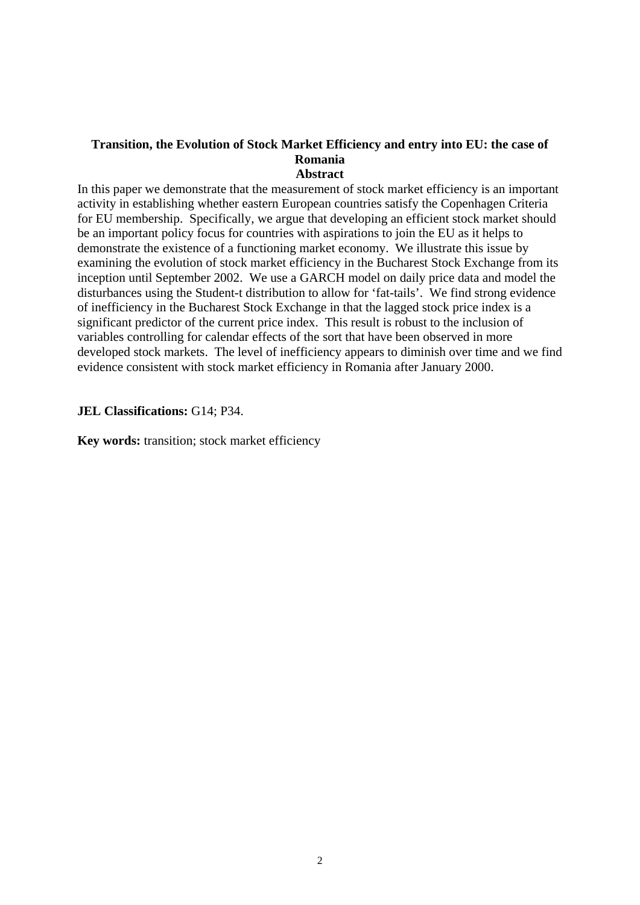### **Transition, the Evolution of Stock Market Efficiency and entry into EU: the case of Romania Abstract**

In this paper we demonstrate that the measurement of stock market efficiency is an important activity in establishing whether eastern European countries satisfy the Copenhagen Criteria for EU membership. Specifically, we argue that developing an efficient stock market should be an important policy focus for countries with aspirations to join the EU as it helps to demonstrate the existence of a functioning market economy. We illustrate this issue by examining the evolution of stock market efficiency in the Bucharest Stock Exchange from its inception until September 2002. We use a GARCH model on daily price data and model the disturbances using the Student-t distribution to allow for 'fat-tails'. We find strong evidence of inefficiency in the Bucharest Stock Exchange in that the lagged stock price index is a significant predictor of the current price index. This result is robust to the inclusion of variables controlling for calendar effects of the sort that have been observed in more developed stock markets. The level of inefficiency appears to diminish over time and we find evidence consistent with stock market efficiency in Romania after January 2000.

## **JEL Classifications:** G14; P34.

**Key words:** transition; stock market efficiency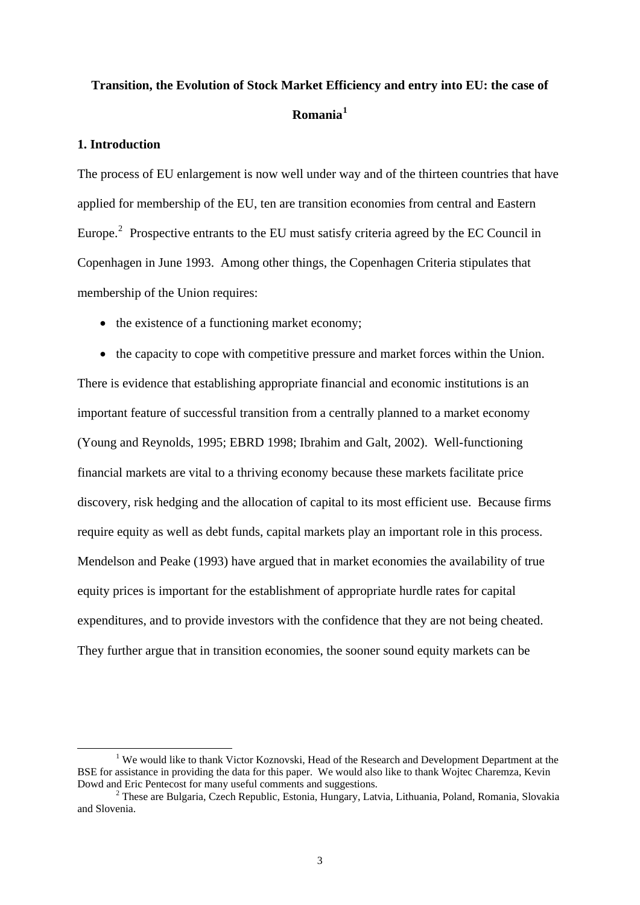# **Transition, the Evolution of Stock Market Efficiency and entry into EU: the case of Romania[1](#page-2-0)**

## **1. Introduction**

The process of EU enlargement is now well under way and of the thirteen countries that have applied for membership of the EU, ten are transition economies from central and Eastern Europe.<sup>[2](#page-2-1)</sup> Prospective entrants to the EU must satisfy criteria agreed by the EC Council in Copenhagen in June 1993. Among other things, the Copenhagen Criteria stipulates that membership of the Union requires:

• the existence of a functioning market economy;

• the capacity to cope with competitive pressure and market forces within the Union. There is evidence that establishing appropriate financial and economic institutions is an important feature of successful transition from a centrally planned to a market economy (Young and Reynolds, 1995; EBRD 1998; Ibrahim and Galt, 2002). Well-functioning financial markets are vital to a thriving economy because these markets facilitate price discovery, risk hedging and the allocation of capital to its most efficient use. Because firms require equity as well as debt funds, capital markets play an important role in this process. Mendelson and Peake (1993) have argued that in market economies the availability of true equity prices is important for the establishment of appropriate hurdle rates for capital expenditures, and to provide investors with the confidence that they are not being cheated. They further argue that in transition economies, the sooner sound equity markets can be

<span id="page-2-0"></span><sup>&</sup>lt;u>1</u> <sup>1</sup> We would like to thank Victor Koznovski, Head of the Research and Development Department at the BSE for assistance in providing the data for this paper. We would also like to thank Wojtec Charemza, Kevin Dowd and Eric Pentecost for many useful comments and suggestions.

<span id="page-2-1"></span>These are Bulgaria, Czech Republic, Estonia, Hungary, Latvia, Lithuania, Poland, Romania, Slovakia and Slovenia.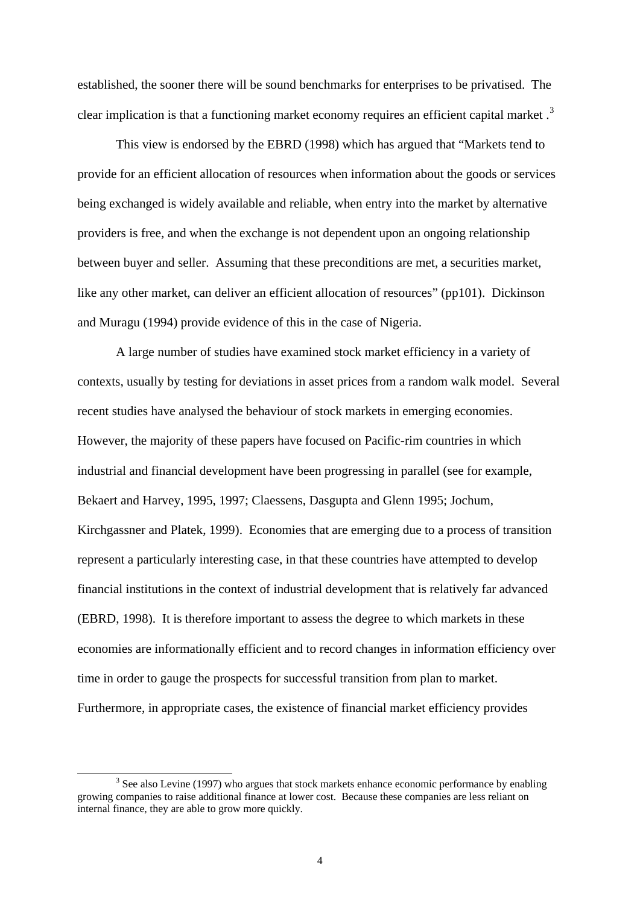established, the sooner there will be sound benchmarks for enterprises to be privatised. The clear implication is that a functioning market economy requires an efficient capital market.<sup>[3](#page-3-0)</sup>

This view is endorsed by the EBRD (1998) which has argued that "Markets tend to provide for an efficient allocation of resources when information about the goods or services being exchanged is widely available and reliable, when entry into the market by alternative providers is free, and when the exchange is not dependent upon an ongoing relationship between buyer and seller. Assuming that these preconditions are met, a securities market, like any other market, can deliver an efficient allocation of resources" (pp101). Dickinson and Muragu (1994) provide evidence of this in the case of Nigeria.

A large number of studies have examined stock market efficiency in a variety of contexts, usually by testing for deviations in asset prices from a random walk model. Several recent studies have analysed the behaviour of stock markets in emerging economies. However, the majority of these papers have focused on Pacific-rim countries in which industrial and financial development have been progressing in parallel (see for example, Bekaert and Harvey, 1995, 1997; Claessens, Dasgupta and Glenn 1995; Jochum, Kirchgassner and Platek, 1999). Economies that are emerging due to a process of transition represent a particularly interesting case, in that these countries have attempted to develop financial institutions in the context of industrial development that is relatively far advanced (EBRD, 1998). It is therefore important to assess the degree to which markets in these economies are informationally efficient and to record changes in information efficiency over time in order to gauge the prospects for successful transition from plan to market. Furthermore, in appropriate cases, the existence of financial market efficiency provides

<span id="page-3-0"></span> $\frac{1}{3}$  $3$  See also Levine (1997) who argues that stock markets enhance economic performance by enabling growing companies to raise additional finance at lower cost. Because these companies are less reliant on internal finance, they are able to grow more quickly.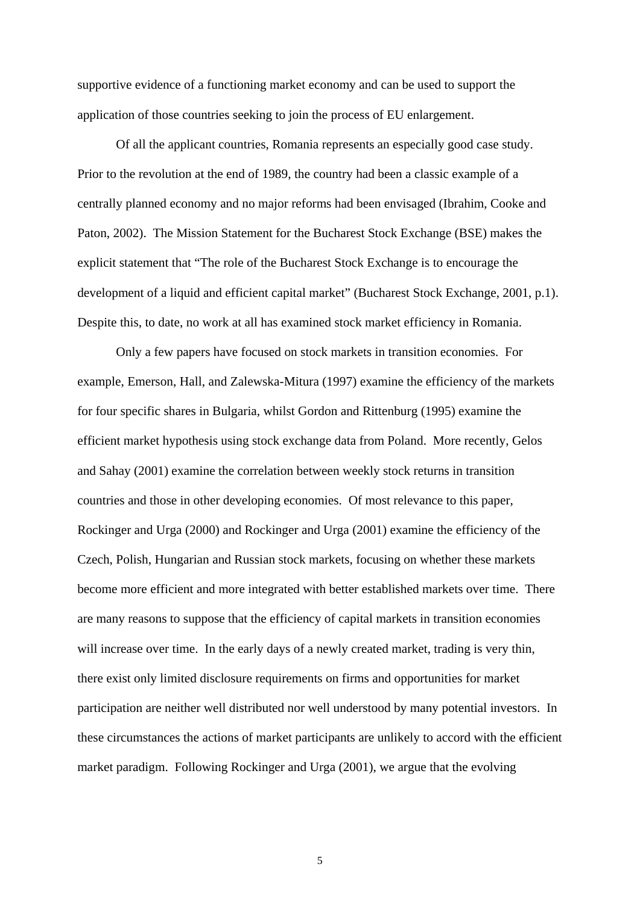supportive evidence of a functioning market economy and can be used to support the application of those countries seeking to join the process of EU enlargement.

Of all the applicant countries, Romania represents an especially good case study. Prior to the revolution at the end of 1989, the country had been a classic example of a centrally planned economy and no major reforms had been envisaged (Ibrahim, Cooke and Paton, 2002). The Mission Statement for the Bucharest Stock Exchange (BSE) makes the explicit statement that "The role of the Bucharest Stock Exchange is to encourage the development of a liquid and efficient capital market" (Bucharest Stock Exchange, 2001, p.1). Despite this, to date, no work at all has examined stock market efficiency in Romania.

Only a few papers have focused on stock markets in transition economies. For example, Emerson, Hall, and Zalewska-Mitura (1997) examine the efficiency of the markets for four specific shares in Bulgaria, whilst Gordon and Rittenburg (1995) examine the efficient market hypothesis using stock exchange data from Poland. More recently, Gelos and Sahay (2001) examine the correlation between weekly stock returns in transition countries and those in other developing economies. Of most relevance to this paper, Rockinger and Urga (2000) and Rockinger and Urga (2001) examine the efficiency of the Czech, Polish, Hungarian and Russian stock markets, focusing on whether these markets become more efficient and more integrated with better established markets over time. There are many reasons to suppose that the efficiency of capital markets in transition economies will increase over time. In the early days of a newly created market, trading is very thin, there exist only limited disclosure requirements on firms and opportunities for market participation are neither well distributed nor well understood by many potential investors. In these circumstances the actions of market participants are unlikely to accord with the efficient market paradigm. Following Rockinger and Urga (2001), we argue that the evolving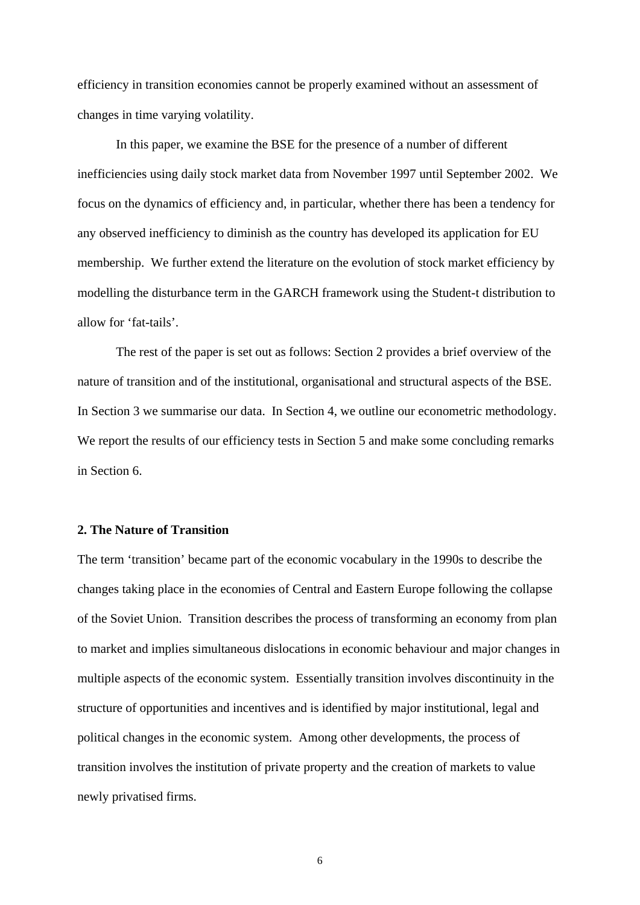efficiency in transition economies cannot be properly examined without an assessment of changes in time varying volatility.

In this paper, we examine the BSE for the presence of a number of different inefficiencies using daily stock market data from November 1997 until September 2002. We focus on the dynamics of efficiency and, in particular, whether there has been a tendency for any observed inefficiency to diminish as the country has developed its application for EU membership. We further extend the literature on the evolution of stock market efficiency by modelling the disturbance term in the GARCH framework using the Student-t distribution to allow for 'fat-tails'.

The rest of the paper is set out as follows: Section 2 provides a brief overview of the nature of transition and of the institutional, organisational and structural aspects of the BSE. In Section 3 we summarise our data. In Section 4, we outline our econometric methodology. We report the results of our efficiency tests in Section 5 and make some concluding remarks in Section 6.

## **2. The Nature of Transition**

The term 'transition' became part of the economic vocabulary in the 1990s to describe the changes taking place in the economies of Central and Eastern Europe following the collapse of the Soviet Union. Transition describes the process of transforming an economy from plan to market and implies simultaneous dislocations in economic behaviour and major changes in multiple aspects of the economic system. Essentially transition involves discontinuity in the structure of opportunities and incentives and is identified by major institutional, legal and political changes in the economic system. Among other developments, the process of transition involves the institution of private property and the creation of markets to value newly privatised firms.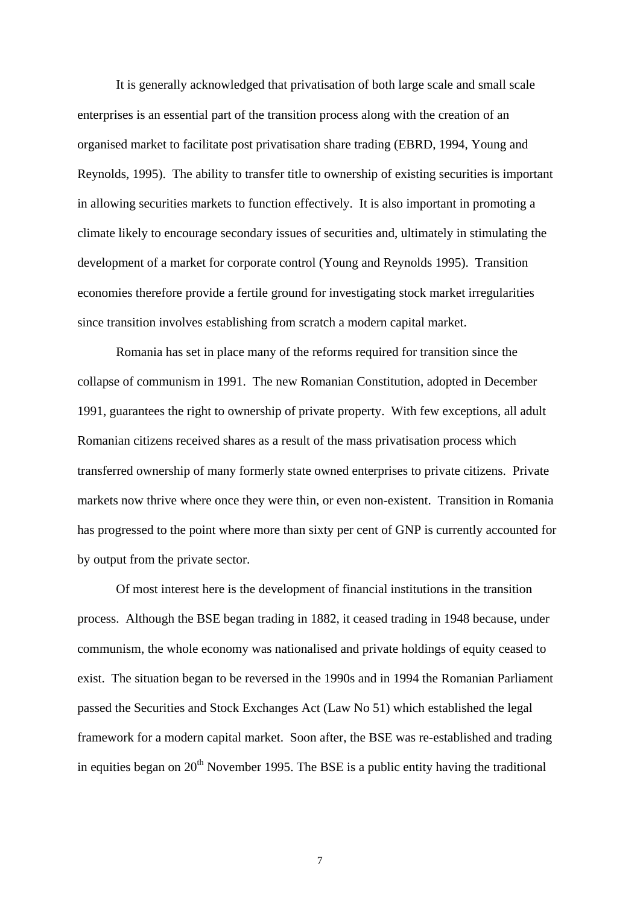It is generally acknowledged that privatisation of both large scale and small scale enterprises is an essential part of the transition process along with the creation of an organised market to facilitate post privatisation share trading (EBRD, 1994, Young and Reynolds, 1995). The ability to transfer title to ownership of existing securities is important in allowing securities markets to function effectively. It is also important in promoting a climate likely to encourage secondary issues of securities and, ultimately in stimulating the development of a market for corporate control (Young and Reynolds 1995). Transition economies therefore provide a fertile ground for investigating stock market irregularities since transition involves establishing from scratch a modern capital market.

Romania has set in place many of the reforms required for transition since the collapse of communism in 1991. The new Romanian Constitution, adopted in December 1991, guarantees the right to ownership of private property. With few exceptions, all adult Romanian citizens received shares as a result of the mass privatisation process which transferred ownership of many formerly state owned enterprises to private citizens. Private markets now thrive where once they were thin, or even non-existent. Transition in Romania has progressed to the point where more than sixty per cent of GNP is currently accounted for by output from the private sector.

Of most interest here is the development of financial institutions in the transition process. Although the BSE began trading in 1882, it ceased trading in 1948 because, under communism, the whole economy was nationalised and private holdings of equity ceased to exist. The situation began to be reversed in the 1990s and in 1994 the Romanian Parliament passed the Securities and Stock Exchanges Act (Law No 51) which established the legal framework for a modern capital market. Soon after, the BSE was re-established and trading in equities began on  $20<sup>th</sup>$  November 1995. The BSE is a public entity having the traditional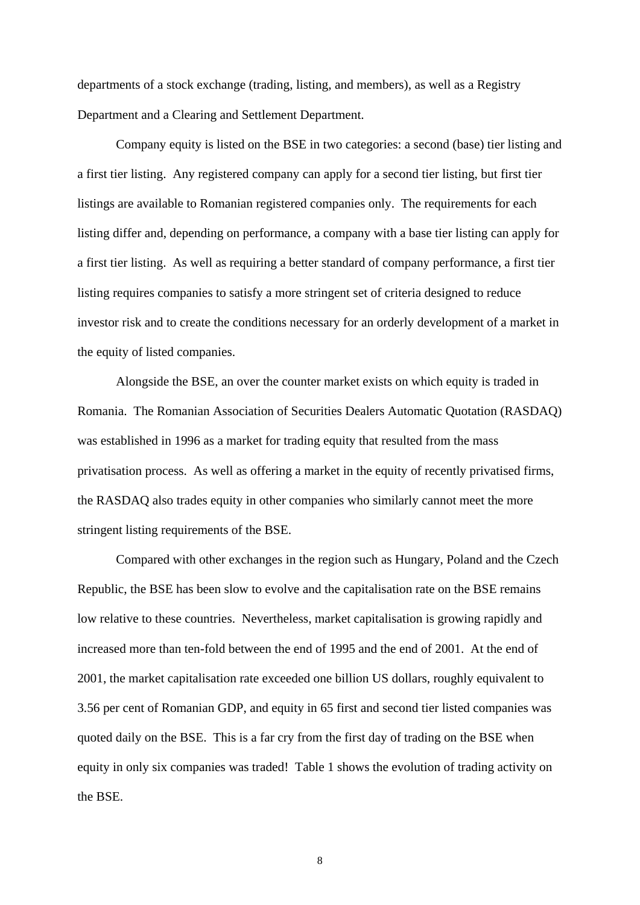departments of a stock exchange (trading, listing, and members), as well as a Registry Department and a Clearing and Settlement Department.

Company equity is listed on the BSE in two categories: a second (base) tier listing and a first tier listing. Any registered company can apply for a second tier listing, but first tier listings are available to Romanian registered companies only. The requirements for each listing differ and, depending on performance, a company with a base tier listing can apply for a first tier listing. As well as requiring a better standard of company performance, a first tier listing requires companies to satisfy a more stringent set of criteria designed to reduce investor risk and to create the conditions necessary for an orderly development of a market in the equity of listed companies.

Alongside the BSE, an over the counter market exists on which equity is traded in Romania. The Romanian Association of Securities Dealers Automatic Quotation (RASDAQ) was established in 1996 as a market for trading equity that resulted from the mass privatisation process. As well as offering a market in the equity of recently privatised firms, the RASDAQ also trades equity in other companies who similarly cannot meet the more stringent listing requirements of the BSE.

Compared with other exchanges in the region such as Hungary, Poland and the Czech Republic, the BSE has been slow to evolve and the capitalisation rate on the BSE remains low relative to these countries. Nevertheless, market capitalisation is growing rapidly and increased more than ten-fold between the end of 1995 and the end of 2001. At the end of 2001, the market capitalisation rate exceeded one billion US dollars, roughly equivalent to 3.56 per cent of Romanian GDP, and equity in 65 first and second tier listed companies was quoted daily on the BSE. This is a far cry from the first day of trading on the BSE when equity in only six companies was traded! Table 1 shows the evolution of trading activity on the BSE.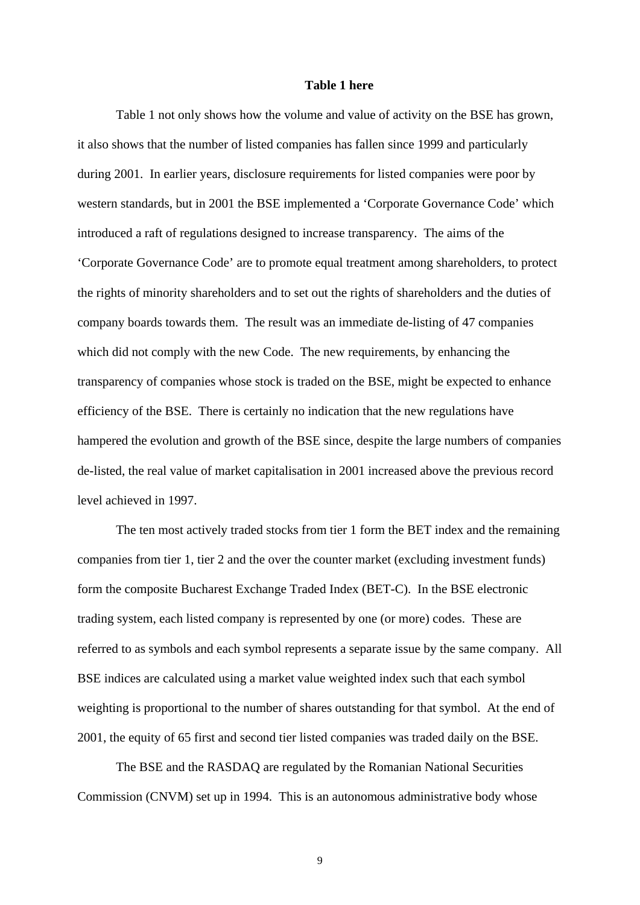#### **Table 1 here**

Table 1 not only shows how the volume and value of activity on the BSE has grown, it also shows that the number of listed companies has fallen since 1999 and particularly during 2001. In earlier years, disclosure requirements for listed companies were poor by western standards, but in 2001 the BSE implemented a 'Corporate Governance Code' which introduced a raft of regulations designed to increase transparency. The aims of the 'Corporate Governance Code' are to promote equal treatment among shareholders, to protect the rights of minority shareholders and to set out the rights of shareholders and the duties of company boards towards them. The result was an immediate de-listing of 47 companies which did not comply with the new Code. The new requirements, by enhancing the transparency of companies whose stock is traded on the BSE, might be expected to enhance efficiency of the BSE. There is certainly no indication that the new regulations have hampered the evolution and growth of the BSE since, despite the large numbers of companies de-listed, the real value of market capitalisation in 2001 increased above the previous record level achieved in 1997.

The ten most actively traded stocks from tier 1 form the BET index and the remaining companies from tier 1, tier 2 and the over the counter market (excluding investment funds) form the composite Bucharest Exchange Traded Index (BET-C). In the BSE electronic trading system, each listed company is represented by one (or more) codes. These are referred to as symbols and each symbol represents a separate issue by the same company. All BSE indices are calculated using a market value weighted index such that each symbol weighting is proportional to the number of shares outstanding for that symbol. At the end of 2001, the equity of 65 first and second tier listed companies was traded daily on the BSE.

The BSE and the RASDAQ are regulated by the Romanian National Securities Commission (CNVM) set up in 1994. This is an autonomous administrative body whose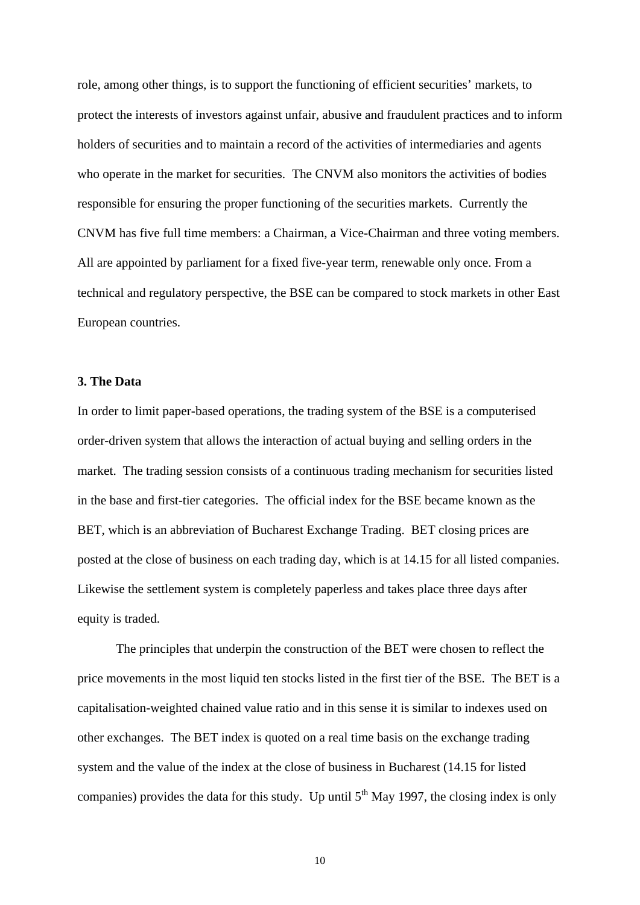role, among other things, is to support the functioning of efficient securities' markets, to protect the interests of investors against unfair, abusive and fraudulent practices and to inform holders of securities and to maintain a record of the activities of intermediaries and agents who operate in the market for securities. The CNVM also monitors the activities of bodies responsible for ensuring the proper functioning of the securities markets. Currently the CNVM has five full time members: a Chairman, a Vice-Chairman and three voting members. All are appointed by parliament for a fixed five-year term, renewable only once. From a technical and regulatory perspective, the BSE can be compared to stock markets in other East European countries.

## **3. The Data**

In order to limit paper-based operations, the trading system of the BSE is a computerised order-driven system that allows the interaction of actual buying and selling orders in the market. The trading session consists of a continuous trading mechanism for securities listed in the base and first-tier categories. The official index for the BSE became known as the BET, which is an abbreviation of Bucharest Exchange Trading. BET closing prices are posted at the close of business on each trading day, which is at 14.15 for all listed companies. Likewise the settlement system is completely paperless and takes place three days after equity is traded.

The principles that underpin the construction of the BET were chosen to reflect the price movements in the most liquid ten stocks listed in the first tier of the BSE. The BET is a capitalisation-weighted chained value ratio and in this sense it is similar to indexes used on other exchanges. The BET index is quoted on a real time basis on the exchange trading system and the value of the index at the close of business in Bucharest (14.15 for listed companies) provides the data for this study. Up until  $5<sup>th</sup>$  May 1997, the closing index is only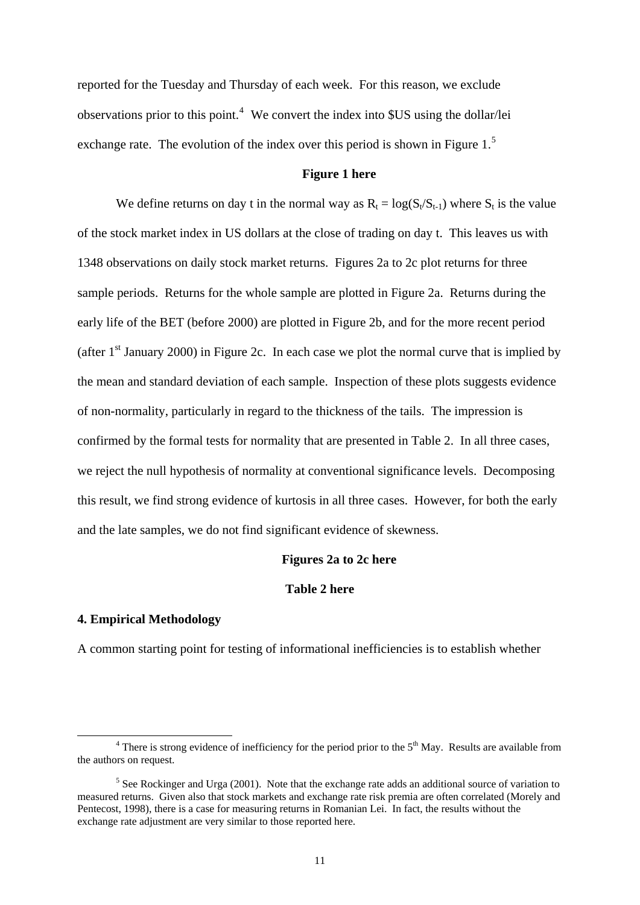reported for the Tuesday and Thursday of each week. For this reason, we exclude observations prior to this point.<sup>[4](#page-10-0)</sup> We convert the index into \$US using the dollar/lei exchange rate. The evolution of the index over this period is shown in Figure 1.<sup>5</sup>

## **Figure 1 here**

We define returns on day t in the normal way as  $R_t = \log(S_t/S_{t-1})$  where  $S_t$  is the value of the stock market index in US dollars at the close of trading on day t. This leaves us with 1348 observations on daily stock market returns. Figures 2a to 2c plot returns for three sample periods. Returns for the whole sample are plotted in Figure 2a. Returns during the early life of the BET (before 2000) are plotted in Figure 2b, and for the more recent period (after  $1<sup>st</sup>$  January 2000) in Figure 2c. In each case we plot the normal curve that is implied by the mean and standard deviation of each sample. Inspection of these plots suggests evidence of non-normality, particularly in regard to the thickness of the tails. The impression is confirmed by the formal tests for normality that are presented in Table 2. In all three cases, we reject the null hypothesis of normality at conventional significance levels. Decomposing this result, we find strong evidence of kurtosis in all three cases. However, for both the early and the late samples, we do not find significant evidence of skewness.

#### **Figures 2a to 2c here**

## **Table 2 here**

### **4. Empirical Methodology**

1

A common starting point for testing of informational inefficiencies is to establish whether

<span id="page-10-0"></span> $4$  There is strong evidence of inefficiency for the period prior to the  $5<sup>th</sup>$  May. Results are available from the authors on request.

<sup>&</sup>lt;sup>5</sup> See Rockinger and Urga (2001). Note that the exchange rate adds an additional source of variation to measured returns. Given also that stock markets and exchange rate risk premia are often correlated (Morely and Pentecost, 1998), there is a case for measuring returns in Romanian Lei. In fact, the results without the exchange rate adjustment are very similar to those reported here.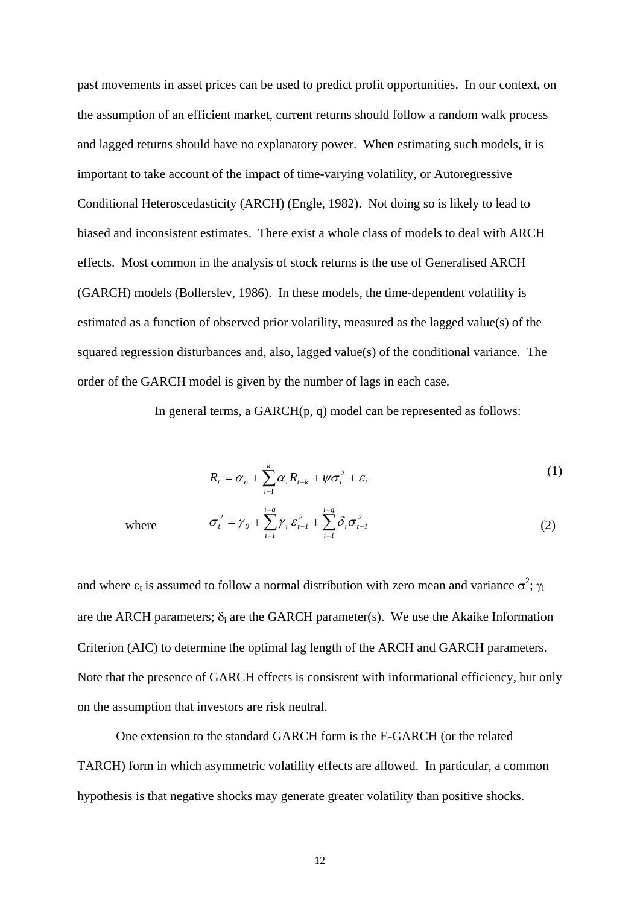past movements in asset prices can be used to predict profit opportunities. In our context, on the assumption of an efficient market, current returns should follow a random walk process and lagged returns should have no explanatory power. When estimating such models, it is important to take account of the impact of time-varying volatility, or Autoregressive Conditional Heteroscedasticity (ARCH) (Engle, 1982). Not doing so is likely to lead to biased and inconsistent estimates. There exist a whole class of models to deal with ARCH effects. Most common in the analysis of stock returns is the use of Generalised ARCH (GARCH) models (Bollerslev, 1986). In these models, the time-dependent volatility is estimated as a function of observed prior volatility, measured as the lagged value(s) of the squared regression disturbances and, also, lagged value(s) of the conditional variance. The order of the GARCH model is given by the number of lags in each case.

In general terms, a GARCH(p, q) model can be represented as follows:

$$
R_t = \alpha_o + \sum_{i=1}^k \alpha_i R_{t-k} + \psi \sigma_t^2 + \varepsilon_t
$$
 (1)

where 
$$
\sigma_t^2 = \gamma_0 + \sum_{i=1}^{i=q} \gamma_i \varepsilon_{t-1}^2 + \sum_{i=1}^{i=q} \delta_i \sigma_{t-1}^2
$$
 (2)

and where  $\varepsilon_t$  is assumed to follow a normal distribution with zero mean and variance  $\sigma^2$ ;  $\gamma_i$ are the ARCH parameters;  $\delta_i$  are the GARCH parameter(s). We use the Akaike Information Criterion (AIC) to determine the optimal lag length of the ARCH and GARCH parameters. Note that the presence of GARCH effects is consistent with informational efficiency, but only on the assumption that investors are risk neutral.

One extension to the standard GARCH form is the E-GARCH (or the related TARCH) form in which asymmetric volatility effects are allowed. In particular, a common hypothesis is that negative shocks may generate greater volatility than positive shocks.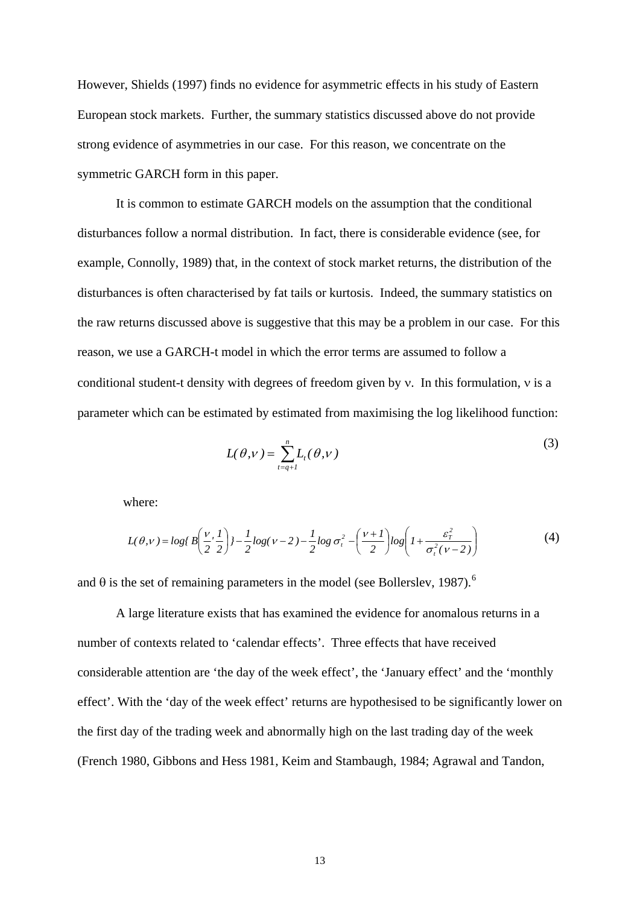However, Shields (1997) finds no evidence for asymmetric effects in his study of Eastern European stock markets. Further, the summary statistics discussed above do not provide strong evidence of asymmetries in our case. For this reason, we concentrate on the symmetric GARCH form in this paper.

It is common to estimate GARCH models on the assumption that the conditional disturbances follow a normal distribution. In fact, there is considerable evidence (see, for example, Connolly, 1989) that, in the context of stock market returns, the distribution of the disturbances is often characterised by fat tails or kurtosis. Indeed, the summary statistics on the raw returns discussed above is suggestive that this may be a problem in our case. For this reason, we use a GARCH-t model in which the error terms are assumed to follow a conditional student-t density with degrees of freedom given by ν. In this formulation, ν is a parameter which can be estimated by estimated from maximising the log likelihood function:

$$
L(\theta, v) = \sum_{t=q+1}^{n} L_t(\theta, v)
$$
\n(3)

where:

$$
L(\theta,\nu) = \log \left( B\left(\frac{\nu}{2},\frac{1}{2}\right) \right) - \frac{1}{2} \log(\nu - 2) - \frac{1}{2} \log \sigma_t^2 - \left(\frac{\nu + 1}{2}\right) \log \left( 1 + \frac{\varepsilon_t^2}{\sigma_t^2(\nu - 2)} \right) \tag{4}
$$

and  $\theta$  is the set of remaining parameters in the model (see Bollerslev, 1987).<sup>[6](#page-12-0)</sup>

<span id="page-12-0"></span> A large literature exists that has examined the evidence for anomalous returns in a number of contexts related to 'calendar effects'. Three effects that have received considerable attention are 'the day of the week effect', the 'January effect' and the 'monthly effect'. With the 'day of the week effect' returns are hypothesised to be significantly lower on the first day of the trading week and abnormally high on the last trading day of the week (French 1980, Gibbons and Hess 1981, Keim and Stambaugh, 1984; Agrawal and Tandon,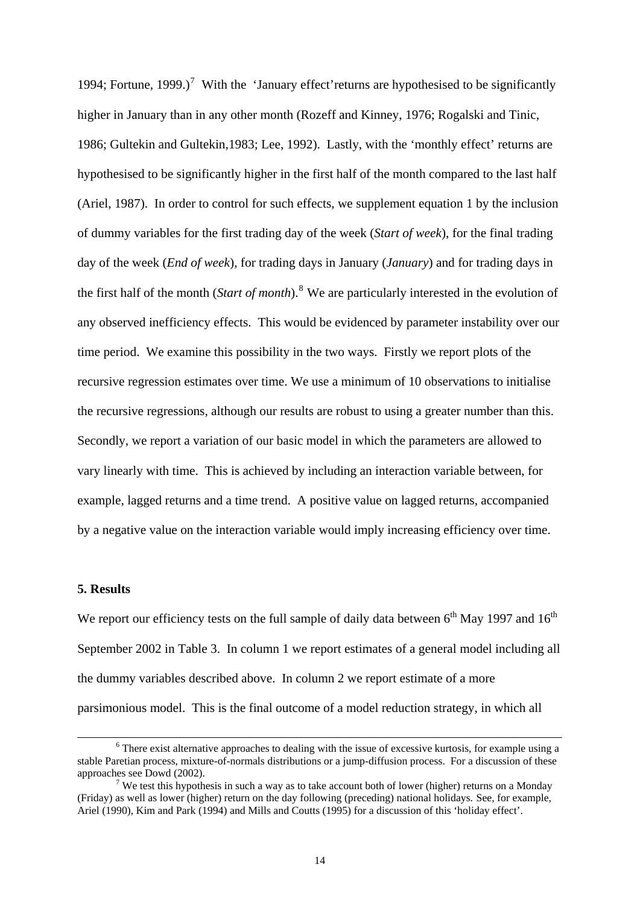1994; Fortune, 1999.)<sup>[7](#page-13-0)</sup> With the 'January effect' returns are hypothesised to be significantly higher in January than in any other month (Rozeff and Kinney, 1976; Rogalski and Tinic, 1986; Gultekin and Gultekin,1983; Lee, 1992). Lastly, with the 'monthly effect' returns are hypothesised to be significantly higher in the first half of the month compared to the last half (Ariel, 1987). In order to control for such effects, we supplement equation 1 by the inclusion of dummy variables for the first trading day of the week (*Start of week*), for the final trading day of the week (*End of week*), for trading days in January (*January*) and for trading days in the first half of the month (*Start of month*).[8](#page-13-1) We are particularly interested in the evolution of any observed inefficiency effects. This would be evidenced by parameter instability over our time period. We examine this possibility in the two ways. Firstly we report plots of the recursive regression estimates over time. We use a minimum of 10 observations to initialise the recursive regressions, although our results are robust to using a greater number than this. Secondly, we report a variation of our basic model in which the parameters are allowed to vary linearly with time. This is achieved by including an interaction variable between, for example, lagged returns and a time trend. A positive value on lagged returns, accompanied by a negative value on the interaction variable would imply increasing efficiency over time.

#### **5. Results**

We report our efficiency tests on the full sample of daily data between  $6<sup>th</sup>$  May 1997 and  $16<sup>th</sup>$ September 2002 in Table 3. In column 1 we report estimates of a general model including all the dummy variables described above. In column 2 we report estimate of a more parsimonious model. This is the final outcome of a model reduction strategy, in which all

 <sup>6</sup>  $6$  There exist alternative approaches to dealing with the issue of excessive kurtosis, for example using a stable Paretian process, mixture-of-normals distributions or a jump-diffusion process. For a discussion of these approaches see Dowd (2002).

<span id="page-13-1"></span><span id="page-13-0"></span>We test this hypothesis in such a way as to take account both of lower (higher) returns on a Monday (Friday) as well as lower (higher) return on the day following (preceding) national holidays. See, for example, Ariel (1990), Kim and Park (1994) and Mills and Coutts (1995) for a discussion of this 'holiday effect'.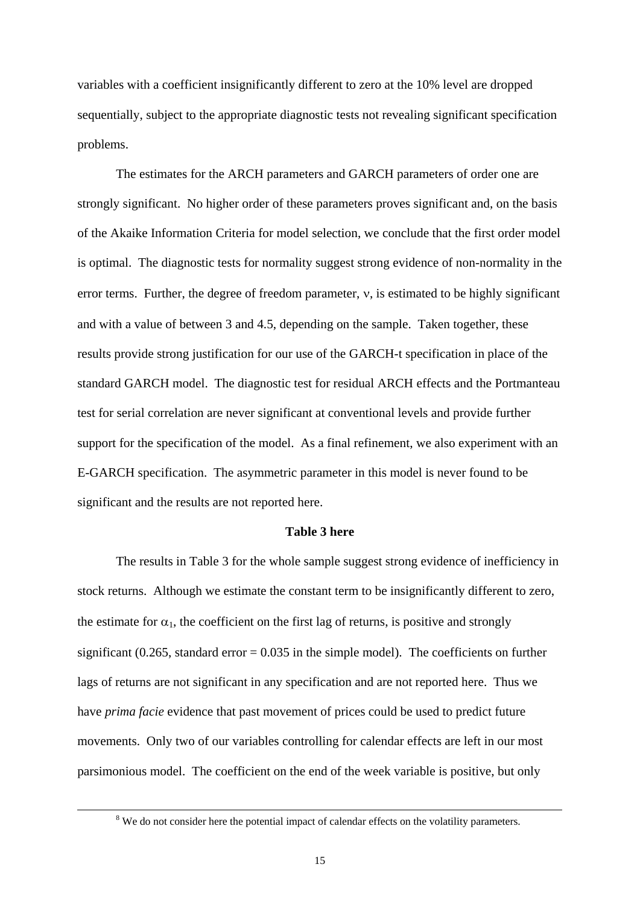variables with a coefficient insignificantly different to zero at the 10% level are dropped sequentially, subject to the appropriate diagnostic tests not revealing significant specification problems.

The estimates for the ARCH parameters and GARCH parameters of order one are strongly significant. No higher order of these parameters proves significant and, on the basis of the Akaike Information Criteria for model selection, we conclude that the first order model is optimal. The diagnostic tests for normality suggest strong evidence of non-normality in the error terms. Further, the degree of freedom parameter, ν, is estimated to be highly significant and with a value of between 3 and 4.5, depending on the sample. Taken together, these results provide strong justification for our use of the GARCH-t specification in place of the standard GARCH model. The diagnostic test for residual ARCH effects and the Portmanteau test for serial correlation are never significant at conventional levels and provide further support for the specification of the model. As a final refinement, we also experiment with an E-GARCH specification. The asymmetric parameter in this model is never found to be significant and the results are not reported here.

#### **Table 3 here**

The results in Table 3 for the whole sample suggest strong evidence of inefficiency in stock returns. Although we estimate the constant term to be insignificantly different to zero, the estimate for  $\alpha_1$ , the coefficient on the first lag of returns, is positive and strongly significant (0.265, standard error  $= 0.035$  in the simple model). The coefficients on further lags of returns are not significant in any specification and are not reported here. Thus we have *prima facie* evidence that past movement of prices could be used to predict future movements. Only two of our variables controlling for calendar effects are left in our most parsimonious model. The coefficient on the end of the week variable is positive, but only

 <sup>8</sup> <sup>8</sup> We do not consider here the potential impact of calendar effects on the volatility parameters.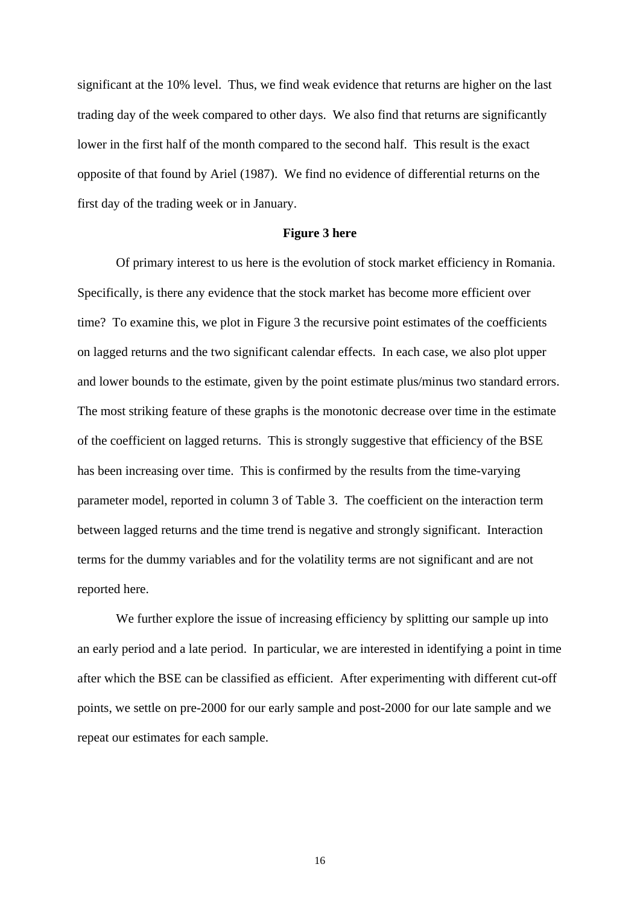significant at the 10% level. Thus, we find weak evidence that returns are higher on the last trading day of the week compared to other days. We also find that returns are significantly lower in the first half of the month compared to the second half. This result is the exact opposite of that found by Ariel (1987). We find no evidence of differential returns on the first day of the trading week or in January.

#### **Figure 3 here**

 Of primary interest to us here is the evolution of stock market efficiency in Romania. Specifically, is there any evidence that the stock market has become more efficient over time? To examine this, we plot in Figure 3 the recursive point estimates of the coefficients on lagged returns and the two significant calendar effects. In each case, we also plot upper and lower bounds to the estimate, given by the point estimate plus/minus two standard errors. The most striking feature of these graphs is the monotonic decrease over time in the estimate of the coefficient on lagged returns. This is strongly suggestive that efficiency of the BSE has been increasing over time. This is confirmed by the results from the time-varying parameter model, reported in column 3 of Table 3. The coefficient on the interaction term between lagged returns and the time trend is negative and strongly significant. Interaction terms for the dummy variables and for the volatility terms are not significant and are not reported here.

We further explore the issue of increasing efficiency by splitting our sample up into an early period and a late period. In particular, we are interested in identifying a point in time after which the BSE can be classified as efficient. After experimenting with different cut-off points, we settle on pre-2000 for our early sample and post-2000 for our late sample and we repeat our estimates for each sample.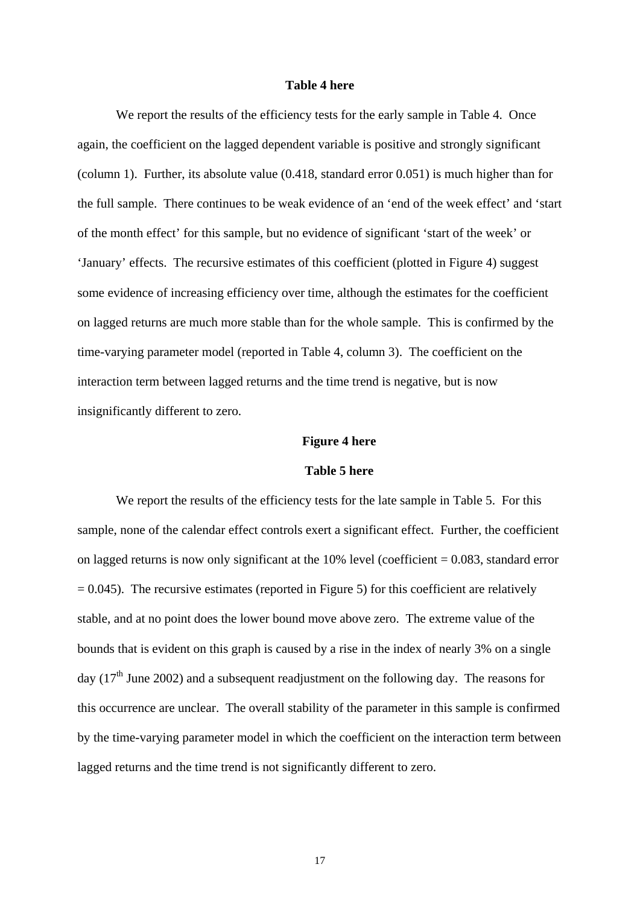#### **Table 4 here**

We report the results of the efficiency tests for the early sample in Table 4. Once again, the coefficient on the lagged dependent variable is positive and strongly significant (column 1). Further, its absolute value (0.418, standard error 0.051) is much higher than for the full sample. There continues to be weak evidence of an 'end of the week effect' and 'start of the month effect' for this sample, but no evidence of significant 'start of the week' or 'January' effects. The recursive estimates of this coefficient (plotted in Figure 4) suggest some evidence of increasing efficiency over time, although the estimates for the coefficient on lagged returns are much more stable than for the whole sample. This is confirmed by the time-varying parameter model (reported in Table 4, column 3). The coefficient on the interaction term between lagged returns and the time trend is negative, but is now insignificantly different to zero.

#### **Figure 4 here**

## **Table 5 here**

We report the results of the efficiency tests for the late sample in Table 5. For this sample, none of the calendar effect controls exert a significant effect. Further, the coefficient on lagged returns is now only significant at the  $10\%$  level (coefficient  $= 0.083$ , standard error  $= 0.045$ ). The recursive estimates (reported in Figure 5) for this coefficient are relatively stable, and at no point does the lower bound move above zero. The extreme value of the bounds that is evident on this graph is caused by a rise in the index of nearly 3% on a single day ( $17<sup>th</sup>$  June 2002) and a subsequent readjustment on the following day. The reasons for this occurrence are unclear. The overall stability of the parameter in this sample is confirmed by the time-varying parameter model in which the coefficient on the interaction term between lagged returns and the time trend is not significantly different to zero.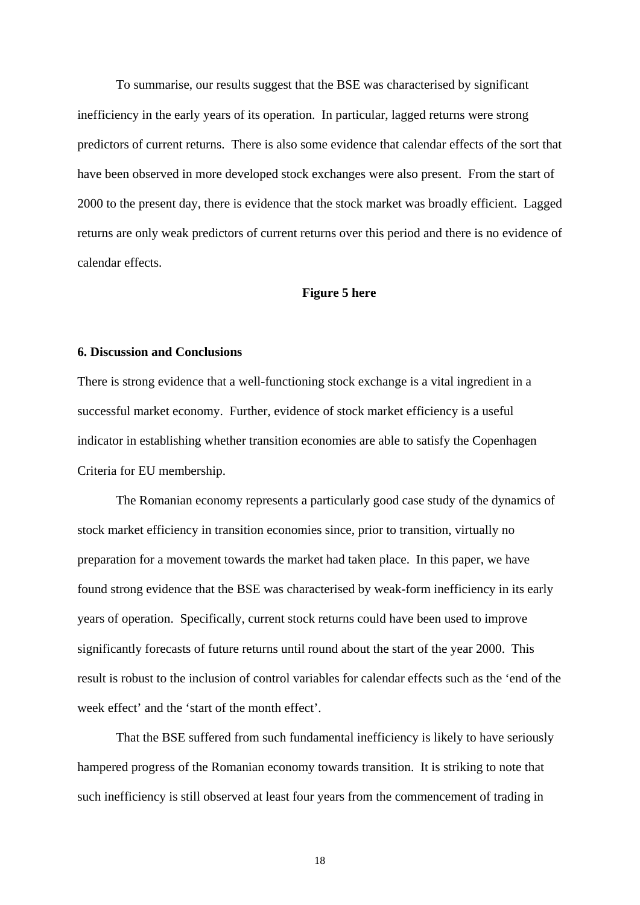To summarise, our results suggest that the BSE was characterised by significant inefficiency in the early years of its operation. In particular, lagged returns were strong predictors of current returns. There is also some evidence that calendar effects of the sort that have been observed in more developed stock exchanges were also present. From the start of 2000 to the present day, there is evidence that the stock market was broadly efficient. Lagged returns are only weak predictors of current returns over this period and there is no evidence of calendar effects.

#### **Figure 5 here**

## **6. Discussion and Conclusions**

There is strong evidence that a well-functioning stock exchange is a vital ingredient in a successful market economy. Further, evidence of stock market efficiency is a useful indicator in establishing whether transition economies are able to satisfy the Copenhagen Criteria for EU membership.

The Romanian economy represents a particularly good case study of the dynamics of stock market efficiency in transition economies since, prior to transition, virtually no preparation for a movement towards the market had taken place. In this paper, we have found strong evidence that the BSE was characterised by weak-form inefficiency in its early years of operation. Specifically, current stock returns could have been used to improve significantly forecasts of future returns until round about the start of the year 2000. This result is robust to the inclusion of control variables for calendar effects such as the 'end of the week effect' and the 'start of the month effect'.

That the BSE suffered from such fundamental inefficiency is likely to have seriously hampered progress of the Romanian economy towards transition. It is striking to note that such inefficiency is still observed at least four years from the commencement of trading in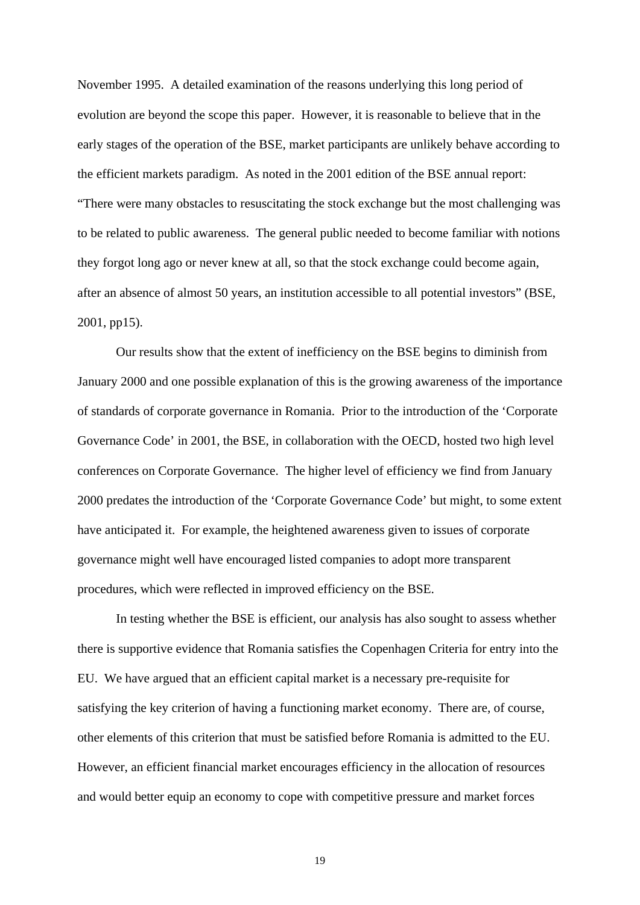November 1995. A detailed examination of the reasons underlying this long period of evolution are beyond the scope this paper. However, it is reasonable to believe that in the early stages of the operation of the BSE, market participants are unlikely behave according to the efficient markets paradigm. As noted in the 2001 edition of the BSE annual report: "There were many obstacles to resuscitating the stock exchange but the most challenging was to be related to public awareness. The general public needed to become familiar with notions they forgot long ago or never knew at all, so that the stock exchange could become again, after an absence of almost 50 years, an institution accessible to all potential investors" (BSE, 2001, pp15).

Our results show that the extent of inefficiency on the BSE begins to diminish from January 2000 and one possible explanation of this is the growing awareness of the importance of standards of corporate governance in Romania. Prior to the introduction of the 'Corporate Governance Code' in 2001, the BSE, in collaboration with the OECD, hosted two high level conferences on Corporate Governance. The higher level of efficiency we find from January 2000 predates the introduction of the 'Corporate Governance Code' but might, to some extent have anticipated it. For example, the heightened awareness given to issues of corporate governance might well have encouraged listed companies to adopt more transparent procedures, which were reflected in improved efficiency on the BSE.

In testing whether the BSE is efficient, our analysis has also sought to assess whether there is supportive evidence that Romania satisfies the Copenhagen Criteria for entry into the EU. We have argued that an efficient capital market is a necessary pre-requisite for satisfying the key criterion of having a functioning market economy. There are, of course, other elements of this criterion that must be satisfied before Romania is admitted to the EU. However, an efficient financial market encourages efficiency in the allocation of resources and would better equip an economy to cope with competitive pressure and market forces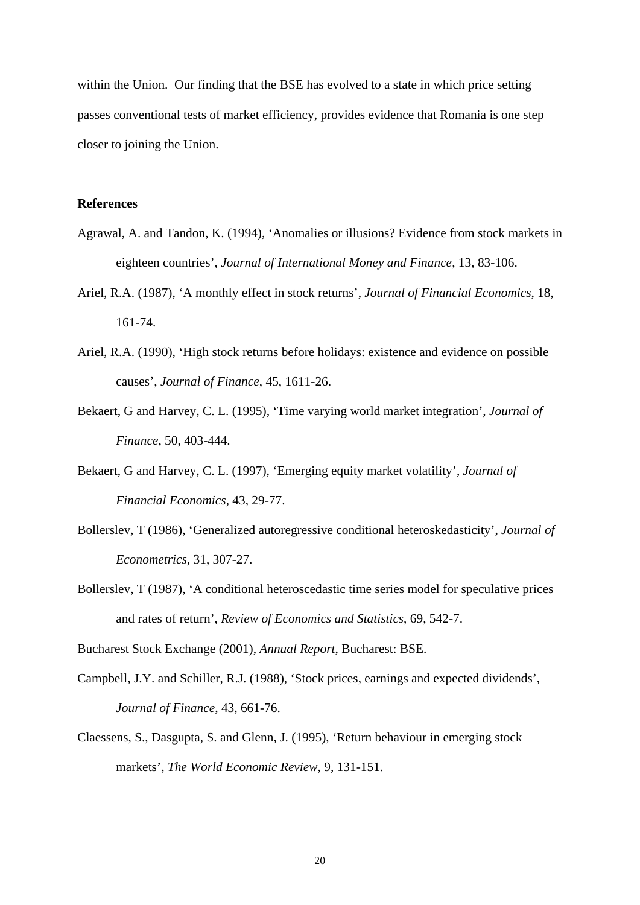within the Union. Our finding that the BSE has evolved to a state in which price setting passes conventional tests of market efficiency, provides evidence that Romania is one step closer to joining the Union.

## **References**

- Agrawal, A. and Tandon, K. (1994), 'Anomalies or illusions? Evidence from stock markets in eighteen countries', *Journal of International Money and Finance*, 13, 83-106.
- Ariel, R.A. (1987), 'A monthly effect in stock returns', *Journal of Financial Economics*, 18, 161-74.
- Ariel, R.A. (1990), 'High stock returns before holidays: existence and evidence on possible causes', *Journal of Finance*, 45, 1611-26.
- Bekaert, G and Harvey, C. L. (1995), 'Time varying world market integration', *Journal of Finance*, 50, 403-444.
- Bekaert, G and Harvey, C. L. (1997), 'Emerging equity market volatility', *Journal of Financial Economics*, 43, 29-77.
- Bollerslev, T (1986), 'Generalized autoregressive conditional heteroskedasticity', *Journal of Econometrics,* 31, 307-27.
- Bollerslev, T (1987), 'A conditional heteroscedastic time series model for speculative prices and rates of return', *Review of Economics and Statistics*, 69, 542-7.

Bucharest Stock Exchange (2001), *Annual Report*, Bucharest: BSE.

- Campbell, J.Y. and Schiller, R.J. (1988), 'Stock prices, earnings and expected dividends', *Journal of Finance*, 43, 661-76.
- Claessens, S., Dasgupta, S. and Glenn, J. (1995), 'Return behaviour in emerging stock markets', *The World Economic Review*, 9, 131-151.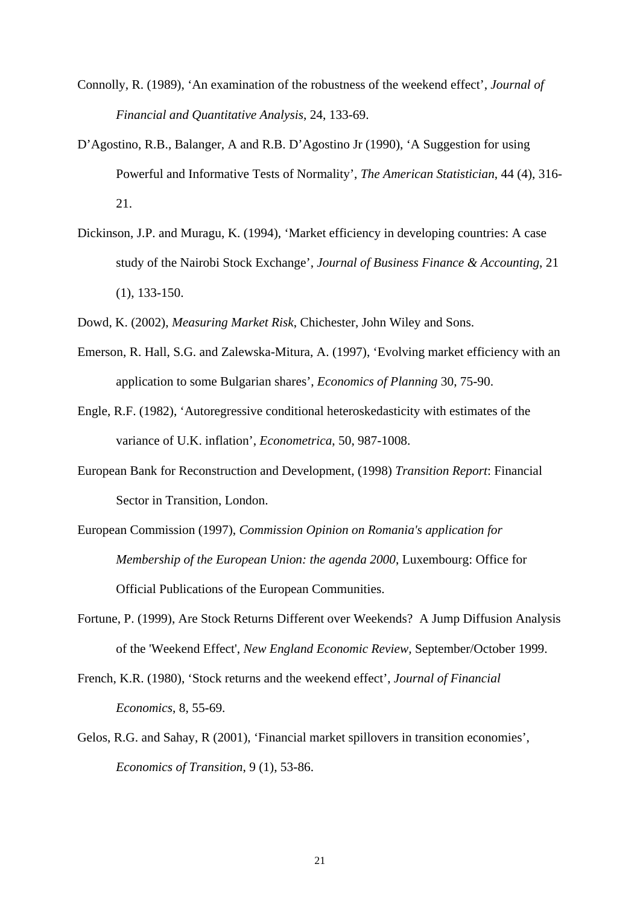- Connolly, R. (1989), 'An examination of the robustness of the weekend effect', *Journal of Financial and Quantitative Analysis*, 24, 133-69.
- D'Agostino, R.B., Balanger, A and R.B. D'Agostino Jr (1990), 'A Suggestion for using Powerful and Informative Tests of Normality', *The American Statistician*, 44 (4), 316- 21.
- Dickinson, J.P. and Muragu, K. (1994), 'Market efficiency in developing countries: A case study of the Nairobi Stock Exchange', *Journal of Business Finance & Accounting*, 21 (1), 133-150.
- Dowd, K. (2002), *Measuring Market Risk*, Chichester, John Wiley and Sons.
- Emerson, R. Hall, S.G. and Zalewska-Mitura, A. (1997), 'Evolving market efficiency with an application to some Bulgarian shares', *Economics of Planning* 30, 75-90.
- Engle, R.F. (1982), 'Autoregressive conditional heteroskedasticity with estimates of the variance of U.K. inflation', *Econometrica*, 50, 987-1008.
- European Bank for Reconstruction and Development, (1998) *Transition Report*: Financial Sector in Transition, London.
- European Commission (1997), *Commission Opinion on Romania's application for Membership of the European Union: the agenda 2000*, Luxembourg: Office for Official Publications of the European Communities.
- Fortune, P. (1999), Are Stock Returns Different over Weekends? A Jump Diffusion Analysis of the 'Weekend Effect', *New England Economic Review,* September/October 1999.
- French, K.R. (1980), 'Stock returns and the weekend effect', *Journal of Financial Economics*, 8, 55-69.
- Gelos, R.G. and Sahay, R (2001), 'Financial market spillovers in transition economies', *Economics of Transition*, 9 (1), 53-86.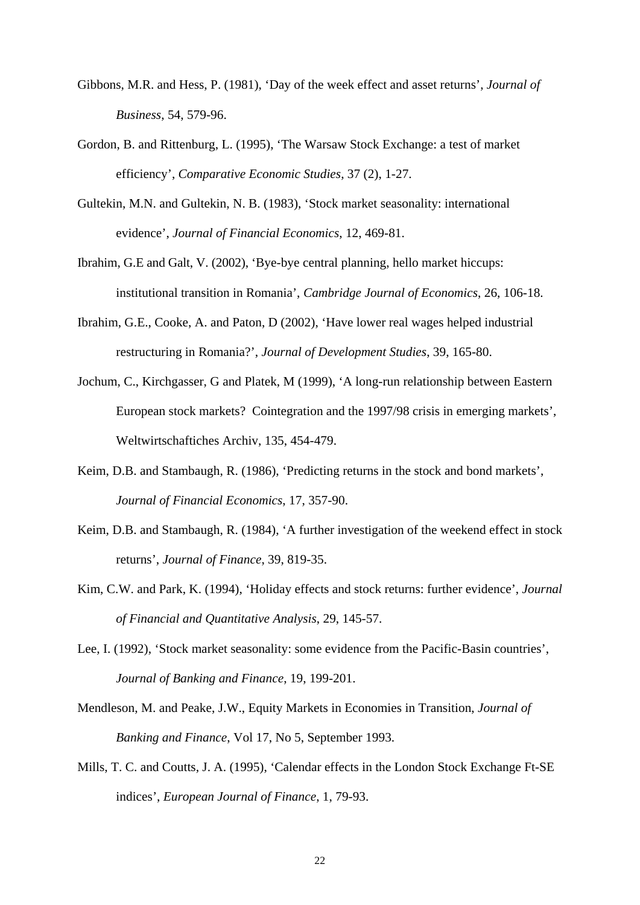- Gibbons, M.R. and Hess, P. (1981), 'Day of the week effect and asset returns', *Journal of Business*, 54, 579-96.
- Gordon, B. and Rittenburg, L. (1995), 'The Warsaw Stock Exchange: a test of market efficiency', *Comparative Economic Studies*, 37 (2), 1-27.
- Gultekin, M.N. and Gultekin, N. B. (1983), 'Stock market seasonality: international evidence', *Journal of Financial Economics*, 12, 469-81.
- Ibrahim, G.E and Galt, V. (2002), 'Bye-bye central planning, hello market hiccups: institutional transition in Romania', *Cambridge Journal of Economics*, 26, 106-18.
- Ibrahim, G.E., Cooke, A. and Paton, D (2002), 'Have lower real wages helped industrial restructuring in Romania?', *Journal of Development Studies*, 39, 165-80.
- Jochum, C., Kirchgasser, G and Platek, M (1999), 'A long-run relationship between Eastern European stock markets? Cointegration and the 1997/98 crisis in emerging markets', Weltwirtschaftiches Archiv, 135, 454-479.
- Keim, D.B. and Stambaugh, R. (1986), 'Predicting returns in the stock and bond markets', *Journal of Financial Economics*, 17, 357-90.
- Keim, D.B. and Stambaugh, R. (1984), 'A further investigation of the weekend effect in stock returns', *Journal of Finance*, 39, 819-35.
- Kim, C.W. and Park, K. (1994), 'Holiday effects and stock returns: further evidence', *Journal of Financial and Quantitative Analysis*, 29, 145-57.
- Lee, I. (1992), 'Stock market seasonality: some evidence from the Pacific-Basin countries', *Journal of Banking and Finance*, 19, 199-201.
- Mendleson, M. and Peake, J.W., Equity Markets in Economies in Transition, *Journal of Banking and Finance*, Vol 17, No 5, September 1993.
- Mills, T. C. and Coutts, J. A. (1995), 'Calendar effects in the London Stock Exchange Ft-SE indices', *European Journal of Finance*, 1, 79-93.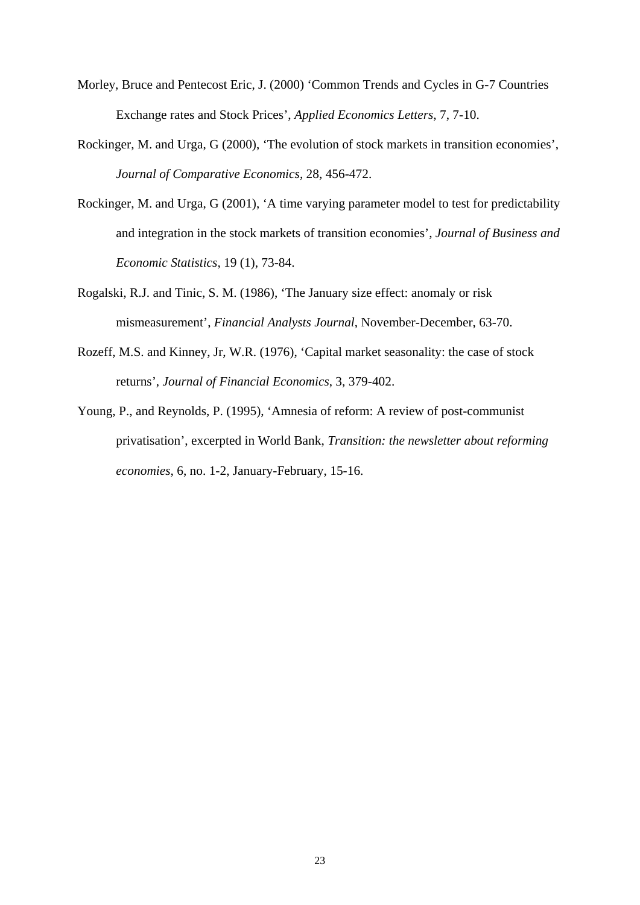- Morley, Bruce and Pentecost Eric, J. (2000) 'Common Trends and Cycles in G-7 Countries Exchange rates and Stock Prices', *Applied Economics Letters*, 7, 7-10.
- Rockinger, M. and Urga, G (2000), 'The evolution of stock markets in transition economies', *Journal of Comparative Economics*, 28, 456-472.
- Rockinger, M. and Urga, G (2001), 'A time varying parameter model to test for predictability and integration in the stock markets of transition economies', *Journal of Business and Economic Statistics*, 19 (1), 73-84.
- Rogalski, R.J. and Tinic, S. M. (1986), 'The January size effect: anomaly or risk mismeasurement', *Financial Analysts Journal*, November-December, 63-70.
- Rozeff, M.S. and Kinney, Jr, W.R. (1976), 'Capital market seasonality: the case of stock returns', *Journal of Financial Economics*, 3, 379-402.
- Young, P., and Reynolds, P. (1995), 'Amnesia of reform: A review of post-communist privatisation', excerpted in World Bank, *Transition: the newsletter about reforming economies*, 6, no. 1-2, January-February, 15-16.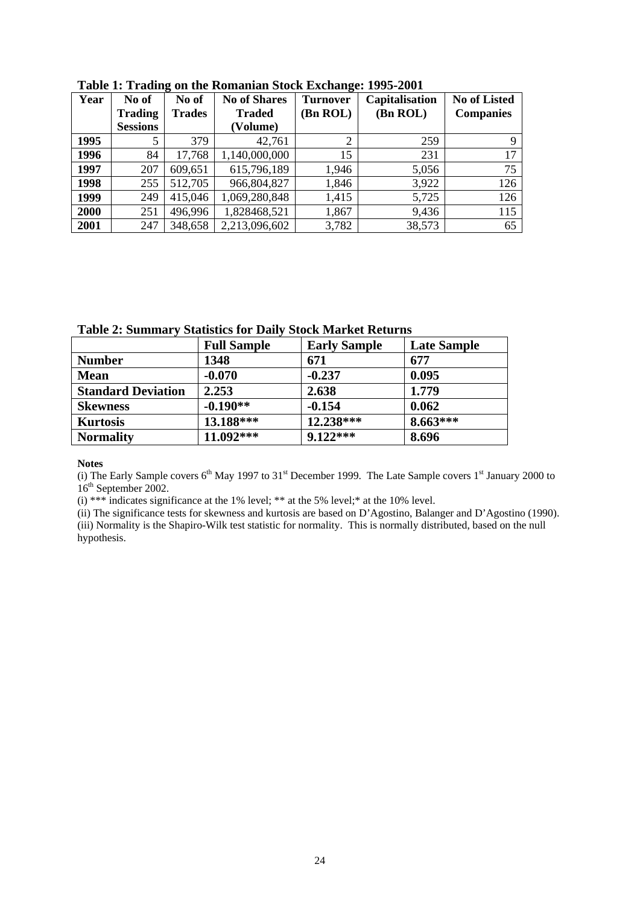| Year | No of           | No of         | <b>No of Shares</b> | $\overline{\phantom{a}}$<br><b>Turnover</b> | Capitalisation | <b>No of Listed</b> |
|------|-----------------|---------------|---------------------|---------------------------------------------|----------------|---------------------|
|      | <b>Trading</b>  | <b>Trades</b> | <b>Traded</b>       | (Bn ROL)                                    | (Bn ROL)       | <b>Companies</b>    |
|      | <b>Sessions</b> |               | (Volume)            |                                             |                |                     |
| 1995 |                 | 379           | 42,761              | $\overline{2}$                              | 259            |                     |
| 1996 | 84              | 17,768        | 1,140,000,000       | 15                                          | 231            | 17                  |
| 1997 | 207             | 609,651       | 615,796,189         | 1,946                                       | 5,056          | 75                  |
| 1998 | 255             | 512,705       | 966,804,827         | 1,846                                       | 3,922          | 126                 |
| 1999 | 249             | 415,046       | 1,069,280,848       | 1,415                                       | 5,725          | 126                 |
| 2000 | 251             | 496,996       | 1,828468,521        | 1,867                                       | 9,436          | 115                 |
| 2001 | 247             | 348,658       | 2,213,096,602       | 3,782                                       | 38,573         | 65                  |

**Table 1: Trading on the Romanian Stock Exchange: 1995-2001** 

**Table 2: Summary Statistics for Daily Stock Market Returns** 

|                           | <b>Full Sample</b> | <b>Early Sample</b> | <b>Late Sample</b> |
|---------------------------|--------------------|---------------------|--------------------|
| <b>Number</b>             | 1348               | 671                 | 677                |
| <b>Mean</b>               | $-0.070$           | $-0.237$            | 0.095              |
| <b>Standard Deviation</b> | 2.253              | 2.638               | 1.779              |
| <b>Skewness</b>           | $-0.190**$         | $-0.154$            | 0.062              |
| <b>Kurtosis</b>           | 13.188***          | 12.238***           | $8.663***$         |
| <b>Normality</b>          | $11.092***$        | $9.122***$          | 8.696              |

(i) The Early Sample covers  $6<sup>th</sup>$  May 1997 to 31<sup>st</sup> December 1999. The Late Sample covers 1<sup>st</sup> January 2000 to 16<sup>th</sup> September 2002.

(i) \*\*\* indicates significance at the 1% level; \*\* at the 5% level; \* at the 10% level.

(ii) The significance tests for skewness and kurtosis are based on D'Agostino, Balanger and D'Agostino (1990). (iii) Normality is the Shapiro-Wilk test statistic for normality. This is normally distributed, based on the null hypothesis.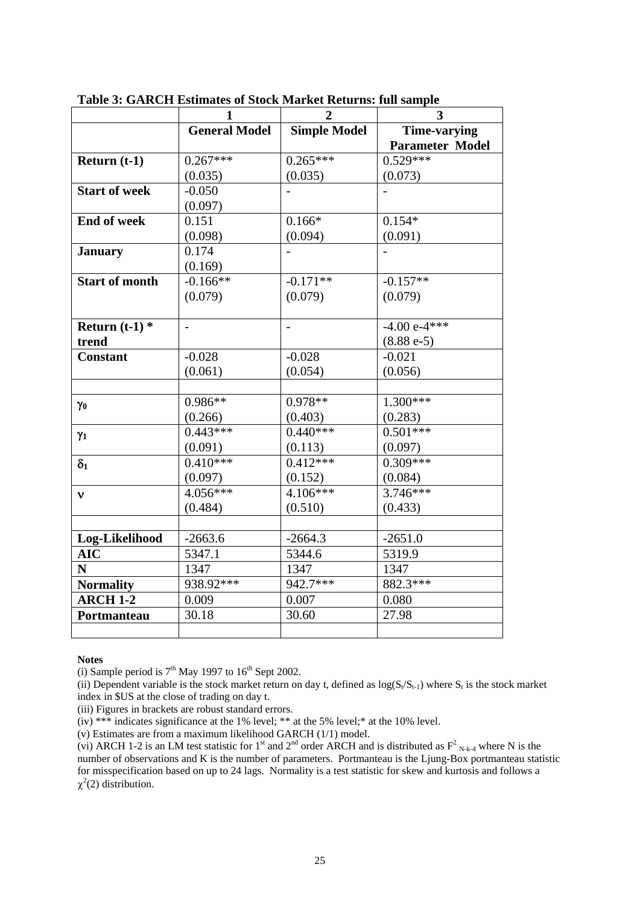|                       | 1                    | $\overline{2}$      | 3                      |
|-----------------------|----------------------|---------------------|------------------------|
|                       | <b>General Model</b> | <b>Simple Model</b> | <b>Time-varying</b>    |
|                       |                      |                     | <b>Parameter Model</b> |
| Return $(t-1)$        | $0.267***$           | $0.265***$          | $0.529***$             |
|                       | (0.035)              | (0.035)             | (0.073)                |
| <b>Start of week</b>  | $-0.050$             |                     |                        |
|                       | (0.097)              |                     |                        |
| <b>End of week</b>    | 0.151                | $0.166*$            | $0.154*$               |
|                       | (0.098)              | (0.094)             | (0.091)                |
| <b>January</b>        | 0.174                |                     |                        |
|                       | (0.169)              |                     |                        |
| <b>Start of month</b> | $-0.166**$           | $-0.171**$          | $-0.157**$             |
|                       | (0.079)              | (0.079)             | (0.079)                |
|                       |                      |                     |                        |
| Return $(t-1)$ *      | $\overline{a}$       |                     | $-4.00e^{-4**}$        |
| trend                 |                      |                     | $(8.88e-5)$            |
| <b>Constant</b>       | $-0.028$             | $-0.028$            | $-0.021$               |
|                       | (0.061)              | (0.054)             | (0.056)                |
|                       |                      |                     |                        |
| $\gamma_0$            | $0.986**$            | $0.978**$           | $1.300***$             |
|                       | (0.266)              | (0.403)             | (0.283)                |
| $\gamma_1$            | $0.443***$           | $0.440***$          | $0.501***$             |
|                       | (0.091)              | (0.113)             | (0.097)                |
| $\delta_1$            | $0.410***$           | $0.412***$          | $0.309***$             |
|                       | (0.097)              | (0.152)             | (0.084)                |
| $\mathbf{v}$          | $4.056***$           | $4.106***$          | $3.746***$             |
|                       | (0.484)              | (0.510)             | (0.433)                |
|                       |                      |                     |                        |
| Log-Likelihood        | $-2663.6$            | $-2664.3$           | $-2651.0$              |
| <b>AIC</b>            | 5347.1               | 5344.6              | 5319.9                 |
| N                     | 1347                 | 1347                | 1347                   |
| <b>Normality</b>      | 938.92***            | 942.7***            | 882.3***               |
| <b>ARCH 1-2</b>       | 0.009                | 0.007               | 0.080                  |
| Portmanteau           | 30.18                | 30.60               | 27.98                  |
|                       |                      |                     |                        |

**Table 3: GARCH Estimates of Stock Market Returns: full sample** 

(i) Sample period is  $7<sup>th</sup>$  May 1997 to  $16<sup>th</sup>$  Sept 2002.

(ii) Dependent variable is the stock market return on day t, defined as  $log(S_t/S_{t-1})$  where  $S_t$  is the stock market index in \$US at the close of trading on day t.

(iii) Figures in brackets are robust standard errors.

(iv) \*\*\* indicates significance at the 1% level; \*\* at the 5% level;\* at the 10% level.

(v) Estimates are from a maximum likelihood GARCH (1/1) model.

(vi) ARCH 1-2 is an LM test statistic for 1<sup>st</sup> and 2<sup>nd</sup> order ARCH and is distributed as  $F^2_{N-k}$  where N is the number of observations and K is the number of parameters. Portmanteau is the Ljung-Box portmanteau statistic for misspecification based on up to 24 lags. Normality is a test statistic for skew and kurtosis and follows a  $\chi^2(2)$  distribution.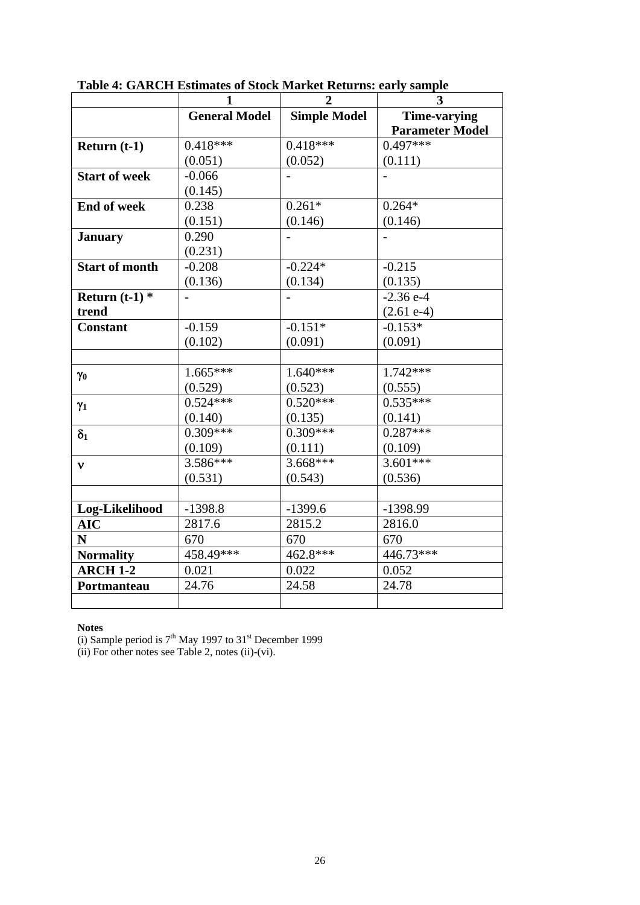|                       | $\mathbf{1}$         | $\overline{2}$      | 3                                             |
|-----------------------|----------------------|---------------------|-----------------------------------------------|
|                       | <b>General Model</b> | <b>Simple Model</b> | <b>Time-varying</b><br><b>Parameter Model</b> |
| Return $(t-1)$        | $0.418***$           | $0.418***$          | $0.497***$                                    |
|                       | (0.051)              | (0.052)             | (0.111)                                       |
| <b>Start of week</b>  | $-0.066$             |                     |                                               |
|                       | (0.145)              |                     |                                               |
| <b>End of week</b>    | 0.238                | $0.261*$            | $0.264*$                                      |
|                       | (0.151)              | (0.146)             | (0.146)                                       |
| <b>January</b>        | 0.290                |                     |                                               |
|                       | (0.231)              |                     |                                               |
| <b>Start of month</b> | $-0.208$             | $-0.224*$           | $-0.215$                                      |
|                       | (0.136)              | (0.134)             | (0.135)                                       |
| Return $(t-1)$ *      |                      |                     | $-2.36$ e-4                                   |
| trend                 |                      |                     | $(2.61 e-4)$                                  |
| <b>Constant</b>       | $-0.159$             | $-0.151*$           | $-0.153*$                                     |
|                       | (0.102)              | (0.091)             | (0.091)                                       |
|                       |                      |                     |                                               |
| $\gamma_0$            | $1.665***$           | $1.640***$          | $1.742***$                                    |
|                       | (0.529)              | (0.523)             | (0.555)                                       |
| $\gamma_1$            | $0.524***$           | $0.520***$          | $0.535***$                                    |
|                       | (0.140)              | (0.135)             | (0.141)                                       |
| $\delta_1$            | $0.309***$           | $0.309***$          | $0.287***$                                    |
|                       | (0.109)              | (0.111)             | (0.109)                                       |
| $\mathbf{v}$          | $3.586***$           | $3.668***$          | $3.601***$                                    |
|                       | (0.531)              | (0.543)             | (0.536)                                       |
|                       |                      |                     |                                               |
| Log-Likelihood        | $-1398.8$            | $-1399.6$           | -1398.99                                      |
| <b>AIC</b>            | 2817.6               | 2815.2              | 2816.0                                        |
| N                     | 670                  | 670                 | 670                                           |
| <b>Normality</b>      | 458.49***            | $462.8***$          | $446.73***$                                   |
| <b>ARCH 1-2</b>       | 0.021                | 0.022               | 0.052                                         |
| Portmanteau           | 24.76                | 24.58               | 24.78                                         |
|                       |                      |                     |                                               |

**Table 4: GARCH Estimates of Stock Market Returns: early sample** 

(i) Sample period is  $7<sup>th</sup>$  May 1997 to 31<sup>st</sup> December 1999

(ii) For other notes see Table 2, notes (ii)-(vi).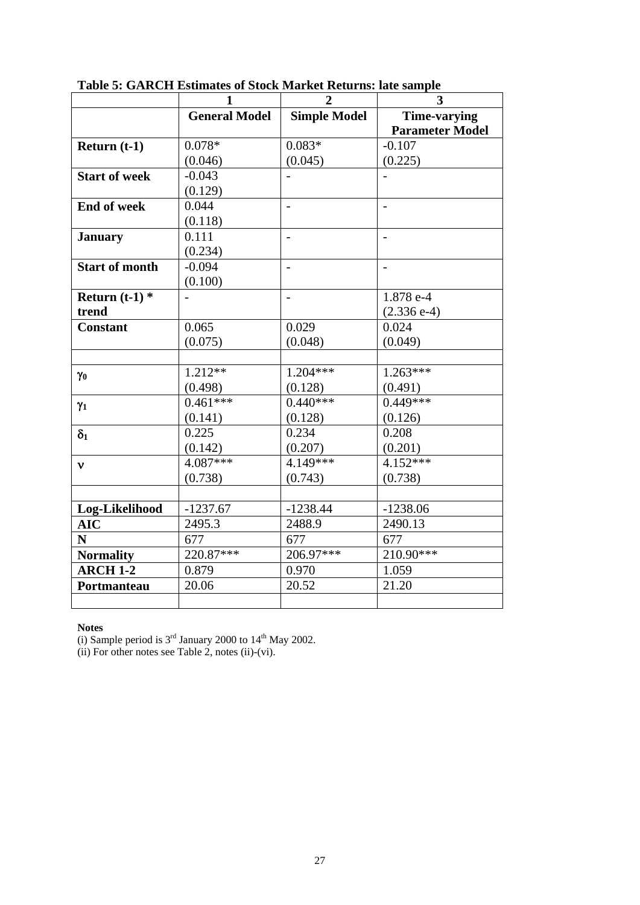|                       | $\mathbf{1}$         | $\overline{2}$           | 3                                             |
|-----------------------|----------------------|--------------------------|-----------------------------------------------|
|                       | <b>General Model</b> | <b>Simple Model</b>      | <b>Time-varying</b><br><b>Parameter Model</b> |
| Return $(t-1)$        | $0.078*$             | $0.083*$                 | $-0.107$                                      |
|                       | (0.046)              | (0.045)                  | (0.225)                                       |
| <b>Start of week</b>  | $-0.043$             |                          |                                               |
|                       | (0.129)              |                          |                                               |
| <b>End of week</b>    | 0.044                | $\overline{\phantom{a}}$ | $\overline{\phantom{a}}$                      |
|                       | (0.118)              |                          |                                               |
| <b>January</b>        | 0.111                |                          |                                               |
|                       | (0.234)              |                          |                                               |
| <b>Start of month</b> | $-0.094$             | $\blacksquare$           | $\overline{\phantom{a}}$                      |
|                       | (0.100)              |                          |                                               |
| Return $(t-1)$ *      |                      |                          | 1.878 e-4                                     |
| trend                 |                      |                          | $(2.336 e-4)$                                 |
| <b>Constant</b>       | 0.065                | 0.029                    | 0.024                                         |
|                       | (0.075)              | (0.048)                  | (0.049)                                       |
|                       |                      |                          |                                               |
| $\gamma_0$            | $1.212**$            | $1.204***$               | $1.263***$                                    |
|                       | (0.498)              | (0.128)                  | (0.491)                                       |
| $\gamma_1$            | $0.461***$           | $0.440***$               | $0.449***$                                    |
|                       | (0.141)              | (0.128)                  | (0.126)                                       |
| $\delta_1$            | 0.225                | 0.234                    | 0.208                                         |
|                       | (0.142)              | (0.207)                  | (0.201)                                       |
| $\mathbf{v}$          | $4.087***$           | $4.149***$               | $4.152***$                                    |
|                       | (0.738)              | (0.743)                  | (0.738)                                       |
|                       |                      |                          |                                               |
| Log-Likelihood        | $-1237.67$           | $-1238.44$               | $-1238.06$                                    |
| <b>AIC</b>            | 2495.3               | 2488.9                   | 2490.13                                       |
| N                     | 677                  | 677                      | 677                                           |
| <b>Normality</b>      | 220.87***            | $206.97***$              | $210.90***$                                   |
| <b>ARCH 1-2</b>       | 0.879                | 0.970                    | 1.059                                         |
| Portmanteau           | 20.06                | 20.52                    | 21.20                                         |
|                       |                      |                          |                                               |

**Table 5: GARCH Estimates of Stock Market Returns: late sample** 

(i) Sample period is  $3<sup>rd</sup>$  January 2000 to  $14<sup>th</sup>$  May 2002.

(ii) For other notes see Table 2, notes (ii)-(vi).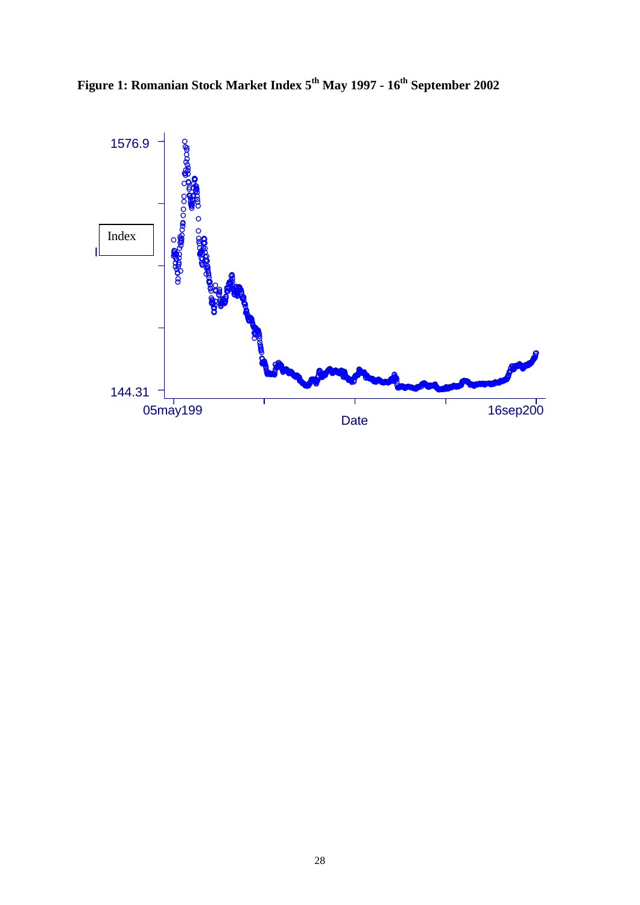Figure 1: Romanian Stock Market Index 5<sup>th</sup> May 1997 - 16<sup>th</sup> September 2002

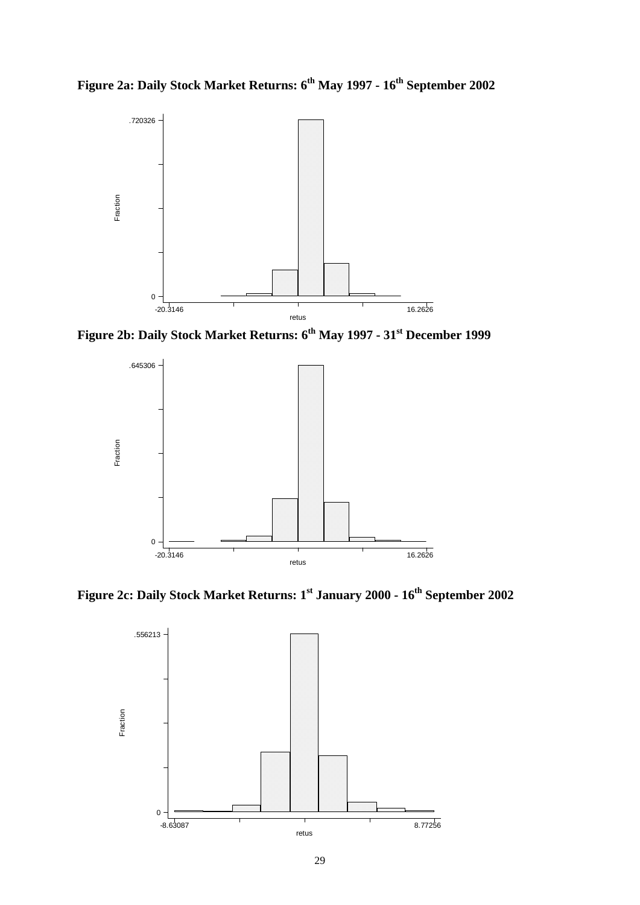**Figure 2a: Daily Stock Market Returns: 6th May 1997 - 16th September 2002** 





Figure 2c: Daily Stock Market Returns: 1<sup>st</sup> January 2000 - 16<sup>th</sup> September 2002

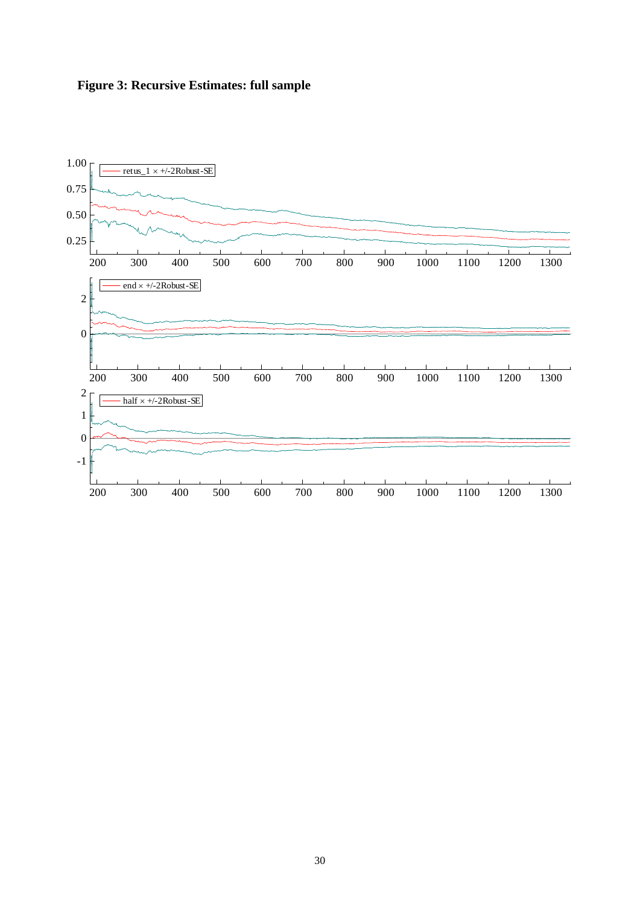

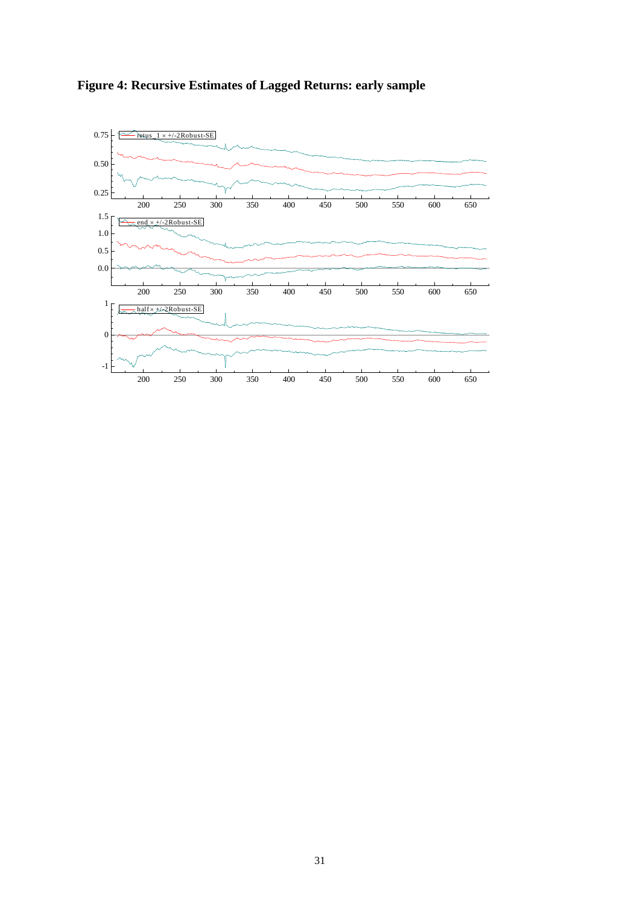